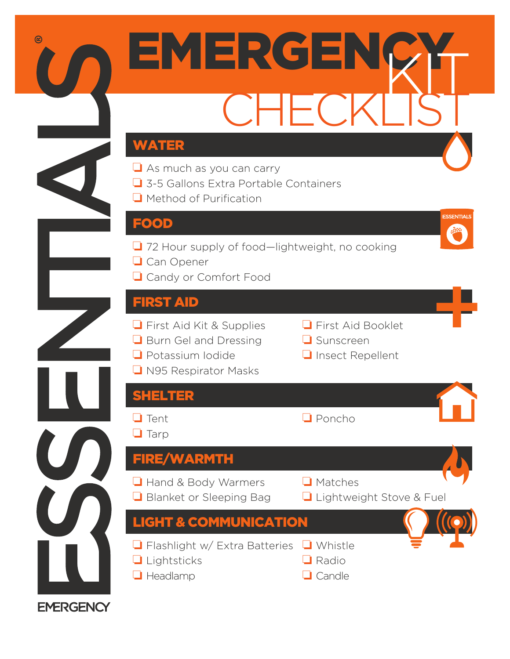

**EMERGENCY**